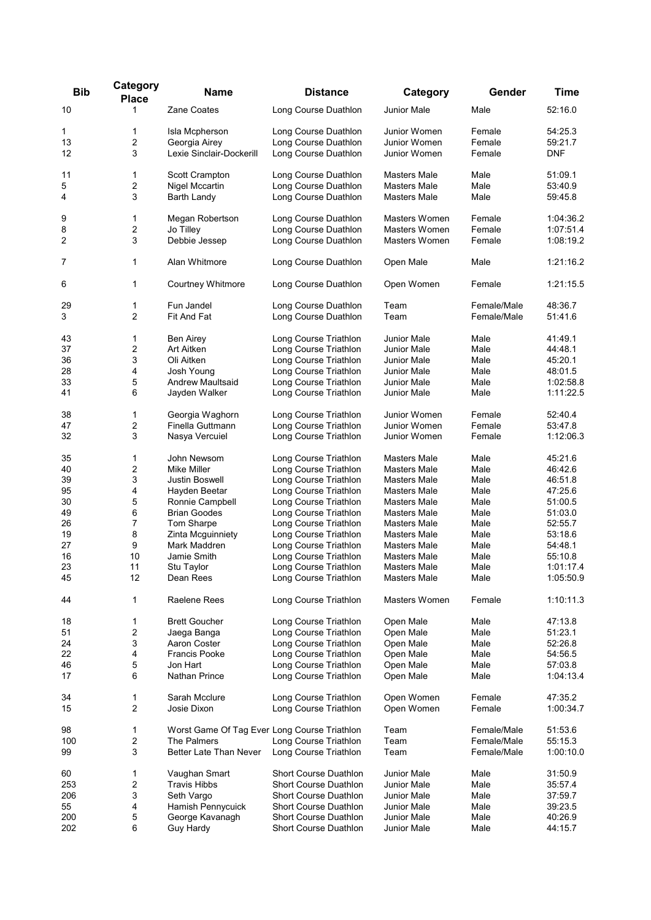| <b>Bib</b> | Category<br><b>Place</b> | Name                                         | <b>Distance</b>                                | Category                     | Gender       | <b>Time</b>        |
|------------|--------------------------|----------------------------------------------|------------------------------------------------|------------------------------|--------------|--------------------|
| 10         | 1                        | <b>Zane Coates</b>                           | Long Course Duathlon                           | Junior Male                  | Male         | 52:16.0            |
| 1          | 1                        | Isla Mcpherson                               | Long Course Duathlon                           | Junior Women                 | Female       | 54:25.3            |
| 13         | $\overline{\mathbf{c}}$  | Georgia Airey                                | Long Course Duathlon                           | Junior Women                 | Female       | 59:21.7            |
| 12         | 3                        | Lexie Sinclair-Dockerill                     | Long Course Duathlon                           | Junior Women                 | Female       | <b>DNF</b>         |
| 11         | 1                        | Scott Crampton                               | Long Course Duathlon                           | Masters Male                 | Male         | 51:09.1            |
| 5          | $\overline{\mathbf{c}}$  | <b>Nigel Mccartin</b>                        | Long Course Duathlon                           | <b>Masters Male</b>          | Male         | 53:40.9            |
| 4          | 3                        | <b>Barth Landy</b>                           | Long Course Duathlon                           | <b>Masters Male</b>          | Male         | 59:45.8            |
| 9          | 1                        | Megan Robertson                              | Long Course Duathlon                           | Masters Women                | Female       | 1:04:36.2          |
| 8          | $\overline{\mathbf{c}}$  | Jo Tilley                                    | Long Course Duathlon                           | Masters Women                | Female       | 1:07:51.4          |
| 2          | 3                        | Debbie Jessep                                | Long Course Duathlon                           | Masters Women                | Female       | 1:08:19.2          |
| 7          | 1                        | Alan Whitmore                                | Long Course Duathlon                           | Open Male                    | Male         | 1:21:16.2          |
| 6          | 1                        | Courtney Whitmore                            | Long Course Duathlon                           | Open Women                   | Female       | 1:21:15.5          |
| 29         | 1                        | Fun Jandel                                   | Long Course Duathlon                           | Team                         | Female/Male  | 48:36.7            |
| 3          | $\overline{2}$           | Fit And Fat                                  | Long Course Duathlon                           | Team                         | Female/Male  | 51:41.6            |
| 43         | 1                        | Ben Airey                                    | Long Course Triathlon                          | Junior Male                  | Male         | 41:49.1            |
| 37         | $\overline{\mathbf{c}}$  | Art Aitken                                   | Long Course Triathlon                          | Junior Male                  | Male         | 44:48.1            |
| 36         | 3                        | Oli Aitken                                   | Long Course Triathlon                          | Junior Male                  | Male         | 45:20.1            |
| 28         | 4                        | Josh Young                                   | Long Course Triathlon                          | Junior Male                  | Male         | 48:01.5            |
| 33         | 5                        | Andrew Maultsaid                             | Long Course Triathlon                          | Junior Male                  | Male         | 1:02:58.8          |
| 41         | 6                        | Jayden Walker                                | Long Course Triathlon                          | Junior Male                  | Male         | 1:11:22.5          |
| 38         | 1                        | Georgia Waghorn                              | Long Course Triathlon                          | Junior Women                 | Female       | 52:40.4            |
| 47         | 2                        | Finella Guttmann                             | Long Course Triathlon                          | Junior Women                 | Female       | 53:47.8            |
| 32         | 3                        | Nasya Vercuiel                               | Long Course Triathlon                          | Junior Women                 | Female       | 1:12:06.3          |
| 35         | 1                        | John Newsom                                  | Long Course Triathlon                          | <b>Masters Male</b>          | Male         | 45:21.6            |
| 40         | 2                        | Mike Miller                                  | Long Course Triathlon                          | <b>Masters Male</b>          | Male         | 46:42.6            |
| 39         | 3                        | <b>Justin Boswell</b>                        | Long Course Triathlon                          | Masters Male                 | Male         | 46:51.8            |
| 95         | 4                        | Hayden Beetar                                | Long Course Triathlon                          | Masters Male                 | Male         | 47:25.6            |
| 30         | 5                        | Ronnie Campbell                              | Long Course Triathlon                          | Masters Male                 | Male         | 51:00.5            |
| 49         | 6<br>7                   | <b>Brian Goodes</b>                          | Long Course Triathlon                          | Masters Male                 | Male<br>Male | 51:03.0<br>52:55.7 |
| 26<br>19   | 8                        | Tom Sharpe<br>Zinta Mcguinniety              | Long Course Triathlon<br>Long Course Triathlon | Masters Male                 |              | 53:18.6            |
| 27         | 9                        | Mark Maddren                                 | Long Course Triathlon                          | Masters Male<br>Masters Male | Male<br>Male | 54:48.1            |
| 16         | 10                       | Jamie Smith                                  | Long Course Triathlon                          | Masters Male                 | Male         | 55:10.8            |
| 23         | 11                       | Stu Taylor                                   | Long Course Triathlon                          | Masters Male                 | Male         | 1:01:17.4          |
| 45         | 12                       | Dean Rees                                    | Long Course Triathlon                          | <b>Masters Male</b>          | Male         | 1:05:50.9          |
|            |                          |                                              |                                                |                              |              |                    |
| 44         | 1                        | Raelene Rees                                 | Long Course Triathlon                          | Masters Women                | Female       | 1:10:11.3          |
| 18         | 1                        | <b>Brett Goucher</b>                         | Long Course Triathlon                          | Open Male                    | Male         | 47:13.8            |
| 51         | 2                        | Jaega Banga                                  | Long Course Triathlon                          | Open Male                    | Male         | 51:23.1            |
| 24         | 3                        | Aaron Coster                                 | Long Course Triathlon                          | Open Male                    | Male         | 52:26.8            |
| 22         | 4                        | <b>Francis Pooke</b>                         | Long Course Triathlon                          | Open Male                    | Male         | 54:56.5            |
| 46         | 5                        | Jon Hart                                     | Long Course Triathlon                          | Open Male                    | Male         | 57:03.8            |
| 17         | 6                        | Nathan Prince                                | Long Course Triathlon                          | Open Male                    | Male         | 1:04:13.4          |
| 34         | 1                        | Sarah Mcclure                                | Long Course Triathlon                          | Open Women                   | Female       | 47:35.2            |
| 15         | $\overline{2}$           | Josie Dixon                                  | Long Course Triathlon                          | Open Women                   | Female       | 1:00:34.7          |
| 98         | 1                        | Worst Game Of Tag Ever Long Course Triathlon |                                                | Team                         | Female/Male  | 51:53.6            |
| 100        | 2                        | The Palmers                                  | Long Course Triathlon                          | Team                         | Female/Male  | 55:15.3            |
| 99         | 3                        | Better Late Than Never                       | Long Course Triathlon                          | Team                         | Female/Male  | 1:00:10.0          |
| 60         | 1                        | Vaughan Smart                                | Short Course Duathlon                          | Junior Male                  | Male         | 31:50.9            |
| 253        | 2                        | <b>Travis Hibbs</b>                          | Short Course Duathlon                          | <b>Junior Male</b>           | Male         | 35:57.4            |
| 206        | 3                        | Seth Vargo                                   | Short Course Duathlon                          | Junior Male                  | Male         | 37:59.7            |
| 55         | 4                        | Hamish Pennycuick                            | Short Course Duathlon                          | Junior Male                  | Male         | 39:23.5            |
| 200        | 5                        | George Kavanagh                              | Short Course Duathlon                          | Junior Male                  | Male         | 40:26.9            |
| 202        | 6                        | Guy Hardy                                    | Short Course Duathlon                          | Junior Male                  | Male         | 44:15.7            |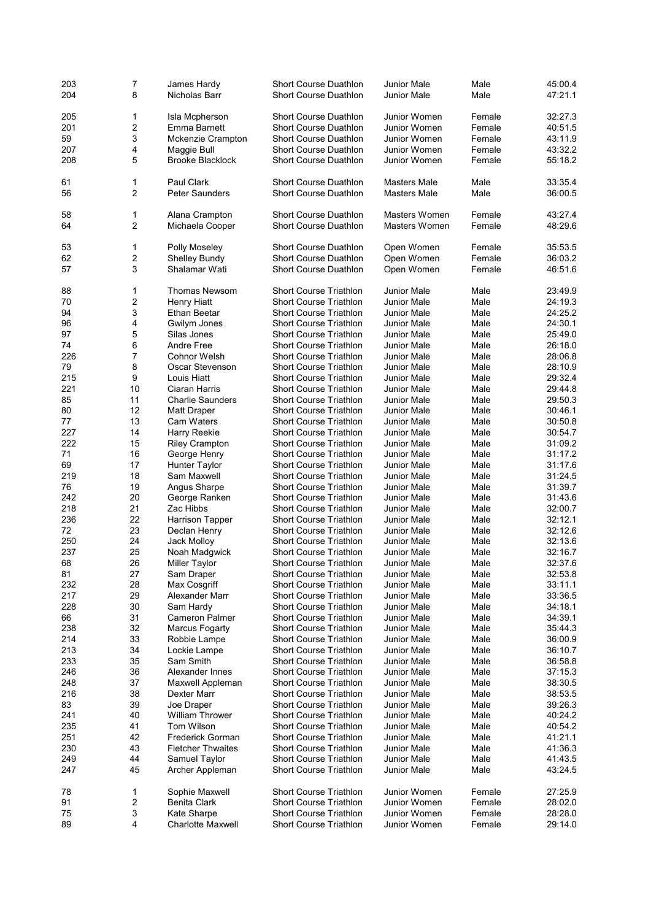| 203<br>204 | 7<br>8           | James Hardy<br>Nicholas Barr           | <b>Short Course Duathlon</b><br><b>Short Course Duathlon</b>   | <b>Junior Male</b><br><b>Junior Male</b> | Male<br>Male | 45:00.4<br>47:21.1 |
|------------|------------------|----------------------------------------|----------------------------------------------------------------|------------------------------------------|--------------|--------------------|
| 205        | 1                | Isla Mcpherson                         | <b>Short Course Duathlon</b>                                   | Junior Women                             | Female       | 32:27.3            |
| 201        | $\overline{c}$   | Emma Barnett                           | <b>Short Course Duathlon</b>                                   | Junior Women                             | Female       | 40:51.5            |
| 59         | 3                | Mckenzie Crampton                      | <b>Short Course Duathlon</b>                                   | Junior Women                             | Female       | 43:11.9            |
| 207        | 4                | Maggie Bull                            | <b>Short Course Duathlon</b>                                   | Junior Women                             | Female       | 43:32.2            |
| 208        | 5                | <b>Brooke Blacklock</b>                | <b>Short Course Duathlon</b>                                   | Junior Women                             | Female       | 55:18.2            |
| 61         | 1                | Paul Clark                             | <b>Short Course Duathlon</b>                                   | <b>Masters Male</b>                      | Male         | 33:35.4            |
| 56         | $\overline{2}$   | Peter Saunders                         | <b>Short Course Duathlon</b>                                   | <b>Masters Male</b>                      | Male         | 36:00.5            |
| 58         | 1                | Alana Crampton                         | <b>Short Course Duathlon</b>                                   | <b>Masters Women</b>                     | Female       | 43:27.4            |
| 64         | $\overline{2}$   | Michaela Cooper                        | <b>Short Course Duathlon</b>                                   | Masters Women                            | Female       | 48:29.6            |
| 53         | 1                | Polly Moseley                          | <b>Short Course Duathlon</b>                                   | Open Women                               | Female       | 35:53.5            |
| 62         | $\boldsymbol{2}$ | <b>Shelley Bundy</b>                   | <b>Short Course Duathlon</b>                                   | Open Women                               | Female       | 36:03.2            |
| 57         | 3                | Shalamar Wati                          | Short Course Duathlon                                          | Open Women                               | Female       | 46:51.6            |
| 88         | 1                | <b>Thomas Newsom</b>                   | <b>Short Course Triathlon</b>                                  | <b>Junior Male</b>                       | Male         | 23:49.9            |
| 70         | $\boldsymbol{2}$ | <b>Henry Hiatt</b>                     | <b>Short Course Triathlon</b>                                  | Junior Male                              | Male         | 24:19.3            |
| 94         | 3                | <b>Ethan Beetar</b>                    | <b>Short Course Triathlon</b>                                  | Junior Male                              | Male         | 24:25.2            |
| 96         | 4                | Gwilym Jones                           | <b>Short Course Triathlon</b>                                  | Junior Male                              | Male         | 24:30.1            |
| 97         | 5                | Silas Jones                            | <b>Short Course Triathlon</b>                                  | Junior Male                              | Male         | 25:49.0            |
| 74<br>226  | 6                | <b>Andre Free</b>                      | <b>Short Course Triathlon</b><br><b>Short Course Triathlon</b> | Junior Male                              | Male         | 26:18.0<br>28:06.8 |
| 79         | 7<br>8           | <b>Cohnor Welsh</b><br>Oscar Stevenson | <b>Short Course Triathlon</b>                                  | <b>Junior Male</b><br>Junior Male        | Male<br>Male | 28:10.9            |
| 215        | 9                | Louis Hiatt                            | <b>Short Course Triathlon</b>                                  | Junior Male                              | Male         | 29:32.4            |
| 221        | 10               | Ciaran Harris                          | <b>Short Course Triathlon</b>                                  | Junior Male                              | Male         | 29:44.8            |
| 85         | 11               | <b>Charlie Saunders</b>                | <b>Short Course Triathlon</b>                                  | Junior Male                              | Male         | 29:50.3            |
| 80         | 12               | Matt Draper                            | <b>Short Course Triathlon</b>                                  | <b>Junior Male</b>                       | Male         | 30:46.1            |
| 77         | 13               | <b>Cam Waters</b>                      | <b>Short Course Triathlon</b>                                  | Junior Male                              | Male         | 30:50.8            |
| 227        | 14               | Harry Reekie                           | <b>Short Course Triathlon</b>                                  | Junior Male                              | Male         | 30:54.7            |
| 222        | 15               | <b>Riley Crampton</b>                  | <b>Short Course Triathlon</b>                                  | Junior Male                              | Male         | 31:09.2            |
| 71         | 16               | George Henry                           | <b>Short Course Triathlon</b>                                  | Junior Male                              | Male         | 31:17.2            |
| 69         | 17               | <b>Hunter Taylor</b>                   | <b>Short Course Triathlon</b>                                  | Junior Male                              | Male         | 31:17.6            |
| 219        | 18               | Sam Maxwell                            | <b>Short Course Triathlon</b>                                  | Junior Male                              | Male         | 31:24.5            |
| 76         | 19               | Angus Sharpe                           | <b>Short Course Triathlon</b>                                  | <b>Junior Male</b>                       | Male         | 31:39.7            |
| 242        | 20               | George Ranken                          | <b>Short Course Triathlon</b>                                  | Junior Male                              | Male         | 31:43.6            |
| 218<br>236 | 21<br>22         | Zac Hibbs                              | <b>Short Course Triathlon</b><br><b>Short Course Triathlon</b> | Junior Male                              | Male<br>Male | 32:00.7<br>32:12.1 |
| 72         | 23               | Harrison Tapper<br>Declan Henry        | <b>Short Course Triathlon</b>                                  | Junior Male<br>Junior Male               | Male         | 32:12.6            |
| 250        | 24               | Jack Molloy                            | <b>Short Course Triathlon</b>                                  | Junior Male                              | Male         | 32:13.6            |
| 237        | 25               | Noah Madgwick                          | <b>Short Course Triathlon</b>                                  | <b>Junior Male</b>                       | Male         | 32:16.7            |
| 68         | 26               | Miller Taylor                          | <b>Short Course Triathlon</b>                                  | Junior Male                              | Male         | 32:37.6            |
| 81         | 27               | Sam Draper                             | Short Course Triathlon                                         | Junior Male                              | Male         | 32:53.8            |
| 232        | 28               | Max Cosgriff                           | <b>Short Course Triathlon</b>                                  | <b>Junior Male</b>                       | Male         | 33:11.1            |
| 217        | 29               | Alexander Marr                         | <b>Short Course Triathlon</b>                                  | Junior Male                              | Male         | 33:36.5            |
| 228        | 30               | Sam Hardy                              | <b>Short Course Triathlon</b>                                  | <b>Junior Male</b>                       | Male         | 34:18.1            |
| 66         | 31               | <b>Cameron Palmer</b>                  | <b>Short Course Triathlon</b>                                  | Junior Male                              | Male         | 34:39.1            |
| 238        | 32               | Marcus Fogarty                         | <b>Short Course Triathlon</b>                                  | <b>Junior Male</b>                       | Male         | 35:44.3            |
| 214        | 33               | Robbie Lampe                           | <b>Short Course Triathlon</b>                                  | Junior Male                              | Male         | 36:00.9            |
| 213        | 34               | Lockie Lampe                           | <b>Short Course Triathlon</b>                                  | Junior Male                              | Male         | 36:10.7            |
| 233<br>246 | 35<br>36         | Sam Smith<br>Alexander Innes           | <b>Short Course Triathlon</b><br><b>Short Course Triathlon</b> | Junior Male                              | Male<br>Male | 36:58.8<br>37:15.3 |
| 248        | 37               | Maxwell Appleman                       | <b>Short Course Triathlon</b>                                  | Junior Male<br><b>Junior Male</b>        | Male         | 38:30.5            |
| 216        | 38               | Dexter Marr                            | <b>Short Course Triathlon</b>                                  | Junior Male                              | Male         | 38:53.5            |
| 83         | 39               | Joe Draper                             | <b>Short Course Triathlon</b>                                  | <b>Junior Male</b>                       | Male         | 39:26.3            |
| 241        | 40               | <b>William Thrower</b>                 | <b>Short Course Triathlon</b>                                  | Junior Male                              | Male         | 40:24.2            |
| 235        | 41               | Tom Wilson                             | <b>Short Course Triathlon</b>                                  | Junior Male                              | Male         | 40:54.2            |
| 251        | 42               | <b>Frederick Gorman</b>                | <b>Short Course Triathlon</b>                                  | Junior Male                              | Male         | 41:21.1            |
| 230        | 43               | <b>Fletcher Thwaites</b>               | <b>Short Course Triathlon</b>                                  | Junior Male                              | Male         | 41:36.3            |
| 249        | 44               | Samuel Taylor                          | <b>Short Course Triathlon</b>                                  | Junior Male                              | Male         | 41:43.5            |
| 247        | 45               | Archer Appleman                        | <b>Short Course Triathlon</b>                                  | Junior Male                              | Male         | 43:24.5            |
| 78         | 1                | Sophie Maxwell                         | <b>Short Course Triathlon</b>                                  | Junior Women                             | Female       | 27:25.9            |
| 91         | 2                | Benita Clark                           | <b>Short Course Triathlon</b>                                  | Junior Women                             | Female       | 28:02.0            |
| 75         | 3                | Kate Sharpe                            | <b>Short Course Triathlon</b>                                  | Junior Women                             | Female       | 28:28.0            |
| 89         | 4                | <b>Charlotte Maxwell</b>               | Short Course Triathlon                                         | Junior Women                             | Female       | 29:14.0            |